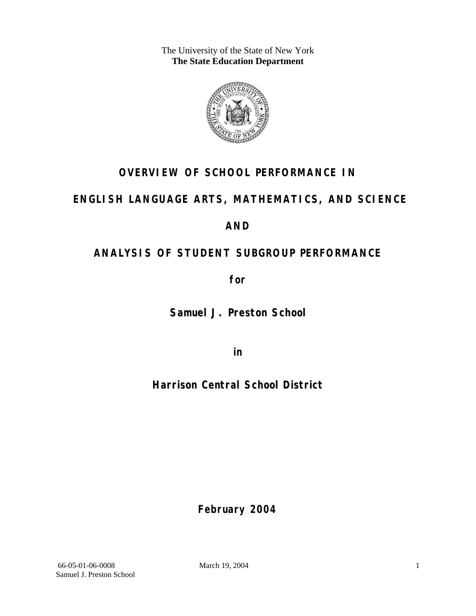The University of the State of New York **The State Education Department** 



## **OVERVIEW OF SCHOOL PERFORMANCE IN**

### **ENGLISH LANGUAGE ARTS, MATHEMATICS, AND SCIENCE**

### **AND**

## **ANALYSIS OF STUDENT SUBGROUP PERFORMANCE**

**for** 

**Samuel J. Preston School**

**in** 

**Harrison Central School District**

**February 2004**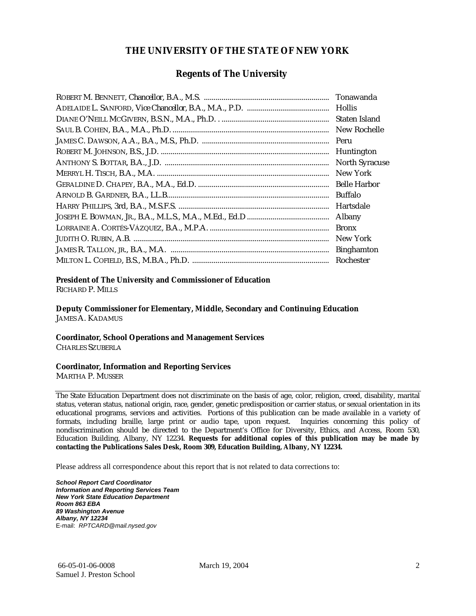#### **THE UNIVERSITY OF THE STATE OF NEW YORK**

#### **Regents of The University**

| Tonawanda             |
|-----------------------|
| <b>Hollis</b>         |
| Staten Island         |
| New Rochelle          |
| Peru                  |
| Huntington            |
| <b>North Syracuse</b> |
| New York              |
| <b>Belle Harbor</b>   |
| <b>Buffalo</b>        |
| Hartsdale             |
| Albany                |
| <b>Bronx</b>          |
| New York              |
| <b>Binghamton</b>     |
| Rochester             |

#### **President of The University and Commissioner of Education**

RICHARD P. MILLS

**Deputy Commissioner for Elementary, Middle, Secondary and Continuing Education**  JAMES A. KADAMUS

#### **Coordinator, School Operations and Management Services**

CHARLES SZUBERLA

#### **Coordinator, Information and Reporting Services**

MARTHA P. MUSSER

The State Education Department does not discriminate on the basis of age, color, religion, creed, disability, marital status, veteran status, national origin, race, gender, genetic predisposition or carrier status, or sexual orientation in its educational programs, services and activities. Portions of this publication can be made available in a variety of formats, including braille, large print or audio tape, upon request. Inquiries concerning this policy of nondiscrimination should be directed to the Department's Office for Diversity, Ethics, and Access, Room 530, Education Building, Albany, NY 12234. **Requests for additional copies of this publication may be made by contacting the Publications Sales Desk, Room 309, Education Building, Albany, NY 12234.** 

Please address all correspondence about this report that is not related to data corrections to:

*School Report Card Coordinator Information and Reporting Services Team New York State Education Department Room 863 EBA 89 Washington Avenue Albany, NY 12234*  E-mail: *RPTCARD@mail.nysed.gov*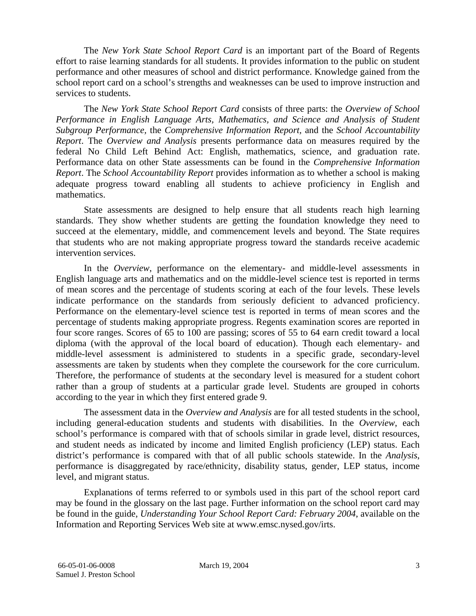The *New York State School Report Card* is an important part of the Board of Regents effort to raise learning standards for all students. It provides information to the public on student performance and other measures of school and district performance. Knowledge gained from the school report card on a school's strengths and weaknesses can be used to improve instruction and services to students.

The *New York State School Report Card* consists of three parts: the *Overview of School Performance in English Language Arts, Mathematics, and Science and Analysis of Student Subgroup Performance,* the *Comprehensive Information Report,* and the *School Accountability Report*. The *Overview and Analysis* presents performance data on measures required by the federal No Child Left Behind Act: English, mathematics, science, and graduation rate. Performance data on other State assessments can be found in the *Comprehensive Information Report*. The *School Accountability Report* provides information as to whether a school is making adequate progress toward enabling all students to achieve proficiency in English and mathematics.

State assessments are designed to help ensure that all students reach high learning standards. They show whether students are getting the foundation knowledge they need to succeed at the elementary, middle, and commencement levels and beyond. The State requires that students who are not making appropriate progress toward the standards receive academic intervention services.

In the *Overview*, performance on the elementary- and middle-level assessments in English language arts and mathematics and on the middle-level science test is reported in terms of mean scores and the percentage of students scoring at each of the four levels. These levels indicate performance on the standards from seriously deficient to advanced proficiency. Performance on the elementary-level science test is reported in terms of mean scores and the percentage of students making appropriate progress. Regents examination scores are reported in four score ranges. Scores of 65 to 100 are passing; scores of 55 to 64 earn credit toward a local diploma (with the approval of the local board of education). Though each elementary- and middle-level assessment is administered to students in a specific grade, secondary-level assessments are taken by students when they complete the coursework for the core curriculum. Therefore, the performance of students at the secondary level is measured for a student cohort rather than a group of students at a particular grade level. Students are grouped in cohorts according to the year in which they first entered grade 9.

The assessment data in the *Overview and Analysis* are for all tested students in the school, including general-education students and students with disabilities. In the *Overview*, each school's performance is compared with that of schools similar in grade level, district resources, and student needs as indicated by income and limited English proficiency (LEP) status. Each district's performance is compared with that of all public schools statewide. In the *Analysis*, performance is disaggregated by race/ethnicity, disability status, gender, LEP status, income level, and migrant status.

Explanations of terms referred to or symbols used in this part of the school report card may be found in the glossary on the last page. Further information on the school report card may be found in the guide, *Understanding Your School Report Card: February 2004*, available on the Information and Reporting Services Web site at www.emsc.nysed.gov/irts.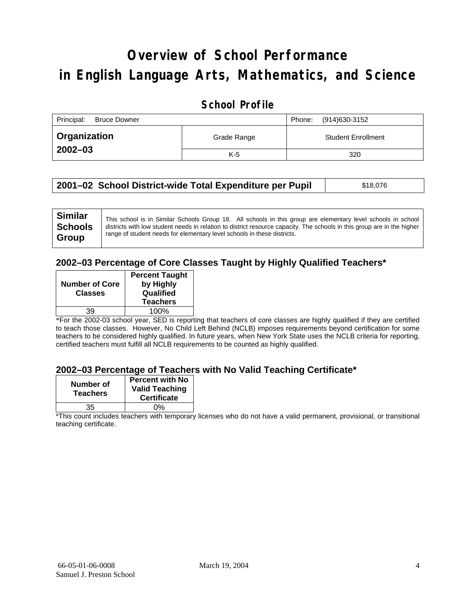# **Overview of School Performance in English Language Arts, Mathematics, and Science**

### **School Profile**

| Principal:<br><b>Bruce Downer</b> | (914)630-3152<br>Phone: |                           |
|-----------------------------------|-------------------------|---------------------------|
| <b>Organization</b>               | Grade Range             | <b>Student Enrollment</b> |
| $2002 - 03$                       | $K-5$                   | 320                       |

| 2001–02 School District-wide Total Expenditure per Pupil | \$18,076 |
|----------------------------------------------------------|----------|
|----------------------------------------------------------|----------|

### **2002–03 Percentage of Core Classes Taught by Highly Qualified Teachers\***

| <b>Percent Taught</b><br>by Highly<br>Qualified<br><b>Teachers</b> |
|--------------------------------------------------------------------|
| 100%                                                               |
|                                                                    |

\*For the 2002-03 school year, SED is reporting that teachers of core classes are highly qualified if they are certified to teach those classes. However, No Child Left Behind (NCLB) imposes requirements beyond certification for some teachers to be considered highly qualified. In future years, when New York State uses the NCLB criteria for reporting, certified teachers must fulfill all NCLB requirements to be counted as highly qualified.

#### **2002–03 Percentage of Teachers with No Valid Teaching Certificate\***

| Number of<br><b>Teachers</b> | <b>Percent with No</b><br><b>Valid Teaching</b><br><b>Certificate</b> |
|------------------------------|-----------------------------------------------------------------------|
| 35                           | ሰ%                                                                    |

\*This count includes teachers with temporary licenses who do not have a valid permanent, provisional, or transitional teaching certificate.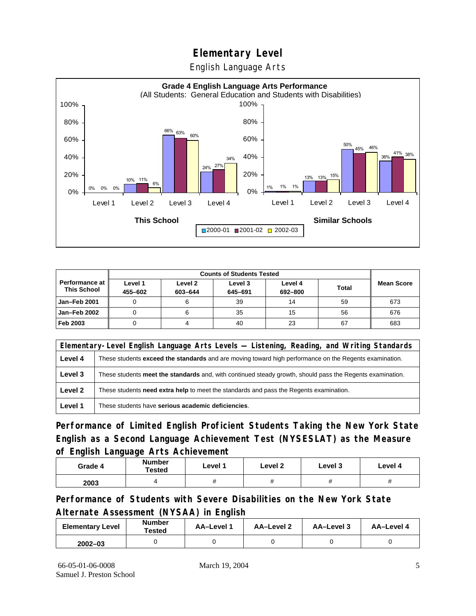English Language Arts



|                                      |                    | <b>Counts of Students Tested</b> |                    |                    |              |                   |
|--------------------------------------|--------------------|----------------------------------|--------------------|--------------------|--------------|-------------------|
| Performance at<br><b>This School</b> | Level 1<br>455-602 | Level 2<br>603-644               | Level 3<br>645-691 | Level 4<br>692-800 | <b>Total</b> | <b>Mean Score</b> |
| Jan-Feb 2001                         |                    |                                  | 39                 | 14                 | 59           | 673               |
| Jan-Feb 2002                         |                    |                                  | 35                 | 15                 | 56           | 676               |
| Feb 2003                             |                    |                                  | 40                 | 23                 | 67           | 683               |

| Elementary-Level English Language Arts Levels — Listening, Reading, and Writing Standards |                                                                                                           |  |  |  |
|-------------------------------------------------------------------------------------------|-----------------------------------------------------------------------------------------------------------|--|--|--|
| Level 4                                                                                   | These students exceed the standards and are moving toward high performance on the Regents examination.    |  |  |  |
| Level 3                                                                                   | These students meet the standards and, with continued steady growth, should pass the Regents examination. |  |  |  |
| Level 2                                                                                   | These students <b>need extra help</b> to meet the standards and pass the Regents examination.             |  |  |  |
| Level 1                                                                                   | These students have serious academic deficiencies.                                                        |  |  |  |

**Performance of Limited English Proficient Students Taking the New York State English as a Second Language Achievement Test (NYSESLAT) as the Measure of English Language Arts Achievement**

| Grade 4 | <b>Number</b><br>Tested | Level 1 | Level 2 | Level 3  | Level 4  |
|---------|-------------------------|---------|---------|----------|----------|
| 2003    |                         | #       | π       | $^{\pi}$ | $^{\pi}$ |

**Performance of Students with Severe Disabilities on the New York State Alternate Assessment (NYSAA) in English** 

| <b>Elementary Level</b> | <b>Number</b><br>Tested | AA-Level 1 | AA-Level 2 | AA-Level 3 | AA-Level 4 |
|-------------------------|-------------------------|------------|------------|------------|------------|
| $2002 - 03$             |                         |            |            |            |            |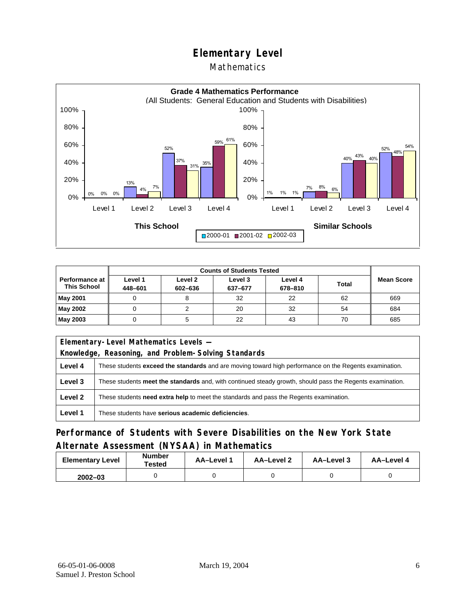### Mathematics



|                                        | <b>Counts of Students Tested</b> |                    |                    |                    |              |                   |
|----------------------------------------|----------------------------------|--------------------|--------------------|--------------------|--------------|-------------------|
| Performance at I<br><b>This School</b> | Level 1<br>448-601               | Level 2<br>602-636 | Level 3<br>637-677 | Level 4<br>678-810 | <b>Total</b> | <b>Mean Score</b> |
| May 2001                               |                                  |                    | 32                 | 22                 | 62           | 669               |
| May 2002                               |                                  |                    | 20                 | 32                 | 54           | 684               |
| May 2003                               |                                  |                    | 22                 | 43                 | 70           | 685               |

| Elementary-Level Mathematics Levels - |                                                                                                           |  |  |  |  |
|---------------------------------------|-----------------------------------------------------------------------------------------------------------|--|--|--|--|
|                                       | Knowledge, Reasoning, and Problem-Solving Standards                                                       |  |  |  |  |
| Level 4                               | These students exceed the standards and are moving toward high performance on the Regents examination.    |  |  |  |  |
| Level 3                               | These students meet the standards and, with continued steady growth, should pass the Regents examination. |  |  |  |  |
| Level 2                               | These students need extra help to meet the standards and pass the Regents examination.                    |  |  |  |  |
| Level 1                               | These students have serious academic deficiencies.                                                        |  |  |  |  |

### **Performance of Students with Severe Disabilities on the New York State Alternate Assessment (NYSAA) in Mathematics**

| <b>Elementary Level</b> | <b>Number</b><br>Tested | AA-Level 1 | AA-Level 2 | AA-Level 3 | AA-Level 4 |  |
|-------------------------|-------------------------|------------|------------|------------|------------|--|
| $2002 - 03$             |                         |            |            |            |            |  |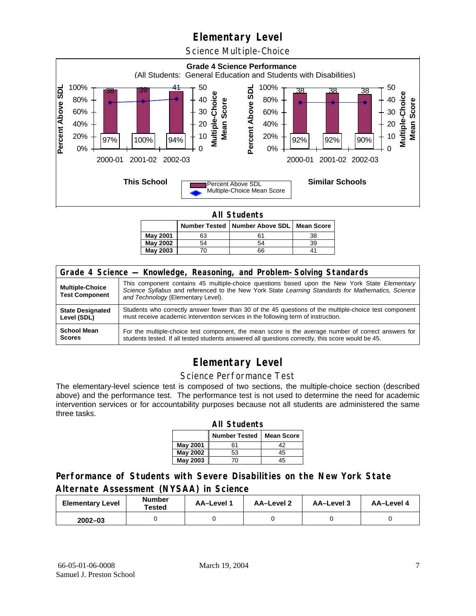Science Multiple-Choice



**All Students** 

|          |    | Number Tested   Number Above SDL   Mean Score |    |  |  |  |  |  |
|----------|----|-----------------------------------------------|----|--|--|--|--|--|
| May 2001 | 63 |                                               | 38 |  |  |  |  |  |
| May 2002 | 54 | 54                                            | 39 |  |  |  |  |  |
| May 2003 |    | 66                                            |    |  |  |  |  |  |

| Grade 4 Science - Knowledge, Reasoning, and Problem-Solving Standards |                                                                                                                                                                                                                                          |  |  |  |  |  |
|-----------------------------------------------------------------------|------------------------------------------------------------------------------------------------------------------------------------------------------------------------------------------------------------------------------------------|--|--|--|--|--|
| <b>Multiple-Choice</b><br><b>Test Component</b>                       | This component contains 45 multiple-choice questions based upon the New York State Elementary<br>Science Syllabus and referenced to the New York State Learning Standards for Mathematics, Science<br>and Technology (Elementary Level). |  |  |  |  |  |
| <b>State Designated</b>                                               | Students who correctly answer fewer than 30 of the 45 questions of the multiple-choice test component                                                                                                                                    |  |  |  |  |  |
| Level (SDL)                                                           | must receive academic intervention services in the following term of instruction.                                                                                                                                                        |  |  |  |  |  |
| <b>School Mean</b>                                                    | For the multiple-choice test component, the mean score is the average number of correct answers for                                                                                                                                      |  |  |  |  |  |
| <b>Scores</b>                                                         | students tested. If all tested students answered all questions correctly, this score would be 45.                                                                                                                                        |  |  |  |  |  |

## **Elementary Level**

#### Science Performance Test

The elementary-level science test is composed of two sections, the multiple-choice section (described above) and the performance test. The performance test is not used to determine the need for academic intervention services or for accountability purposes because not all students are administered the same three tasks.

| <b>All Students</b>                       |    |    |  |  |  |  |  |  |
|-------------------------------------------|----|----|--|--|--|--|--|--|
| <b>Number Tested</b><br><b>Mean Score</b> |    |    |  |  |  |  |  |  |
| May 2001                                  | 61 | 42 |  |  |  |  |  |  |
| <b>May 2002</b>                           | 53 | 45 |  |  |  |  |  |  |
| <b>May 2003</b><br>$45^{\circ}$<br>70     |    |    |  |  |  |  |  |  |

#### **Performance of Students with Severe Disabilities on the New York State Alternate Assessment (NYSAA) in Science**

| <b>Elementary Level</b> | <b>Number</b><br>Tested | AA-Level 1 | AA-Level 2 | AA-Level 3 | AA-Level 4 |  |
|-------------------------|-------------------------|------------|------------|------------|------------|--|
| $2002 - 03$             |                         |            |            |            |            |  |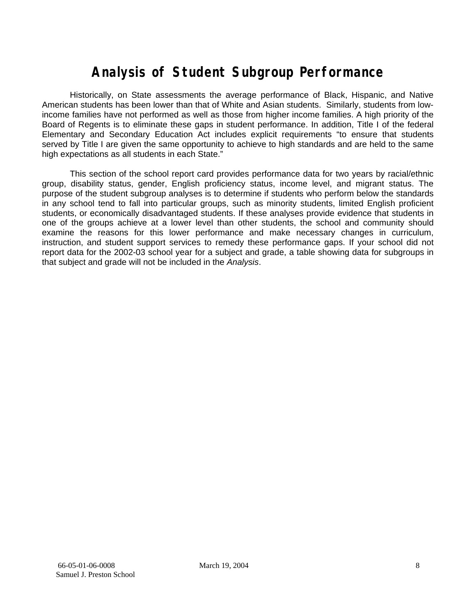# **Analysis of Student Subgroup Performance**

Historically, on State assessments the average performance of Black, Hispanic, and Native American students has been lower than that of White and Asian students. Similarly, students from lowincome families have not performed as well as those from higher income families. A high priority of the Board of Regents is to eliminate these gaps in student performance. In addition, Title I of the federal Elementary and Secondary Education Act includes explicit requirements "to ensure that students served by Title I are given the same opportunity to achieve to high standards and are held to the same high expectations as all students in each State."

This section of the school report card provides performance data for two years by racial/ethnic group, disability status, gender, English proficiency status, income level, and migrant status. The purpose of the student subgroup analyses is to determine if students who perform below the standards in any school tend to fall into particular groups, such as minority students, limited English proficient students, or economically disadvantaged students. If these analyses provide evidence that students in one of the groups achieve at a lower level than other students, the school and community should examine the reasons for this lower performance and make necessary changes in curriculum, instruction, and student support services to remedy these performance gaps. If your school did not report data for the 2002-03 school year for a subject and grade, a table showing data for subgroups in that subject and grade will not be included in the *Analysis*.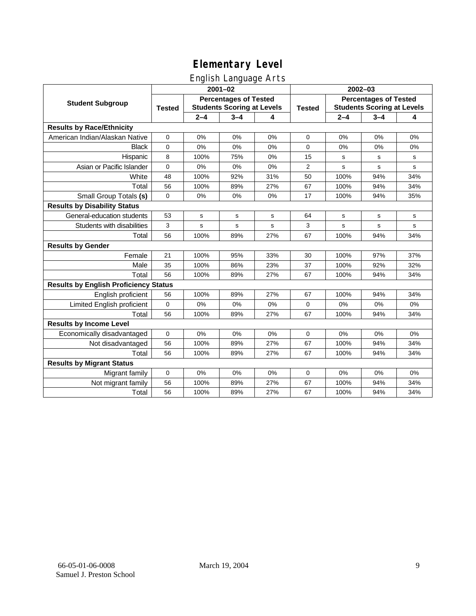### English Language Arts

|                                              | ັ<br>$2001 - 02$                                                                   |         |         |               | 2002-03                                                           |         |         |             |
|----------------------------------------------|------------------------------------------------------------------------------------|---------|---------|---------------|-------------------------------------------------------------------|---------|---------|-------------|
| <b>Student Subgroup</b>                      | <b>Percentages of Tested</b><br><b>Students Scoring at Levels</b><br><b>Tested</b> |         |         | <b>Tested</b> | <b>Percentages of Tested</b><br><b>Students Scoring at Levels</b> |         |         |             |
|                                              |                                                                                    | $2 - 4$ | $3 - 4$ | 4             |                                                                   | $2 - 4$ | $3 - 4$ | 4           |
| <b>Results by Race/Ethnicity</b>             |                                                                                    |         |         |               |                                                                   |         |         |             |
| American Indian/Alaskan Native               | $\mathbf 0$                                                                        | 0%      | 0%      | 0%            | $\mathbf 0$                                                       | 0%      | 0%      | 0%          |
| <b>Black</b>                                 | 0                                                                                  | 0%      | 0%      | 0%            | 0                                                                 | 0%      | 0%      | 0%          |
| Hispanic                                     | 8                                                                                  | 100%    | 75%     | 0%            | 15                                                                | s       | s       | s           |
| Asian or Pacific Islander                    | $\mathbf 0$                                                                        | 0%      | 0%      | 0%            | $\overline{2}$                                                    | s       | s       | s           |
| White                                        | 48                                                                                 | 100%    | 92%     | 31%           | 50                                                                | 100%    | 94%     | 34%         |
| Total                                        | 56                                                                                 | 100%    | 89%     | 27%           | 67                                                                | 100%    | 94%     | 34%         |
| Small Group Totals (s)                       | $\mathbf 0$                                                                        | 0%      | 0%      | 0%            | 17                                                                | 100%    | 94%     | 35%         |
| <b>Results by Disability Status</b>          |                                                                                    |         |         |               |                                                                   |         |         |             |
| General-education students                   | 53                                                                                 | s       | s       | s             | 64                                                                | s       | s       | s           |
| Students with disabilities                   | 3                                                                                  | s       | s       | s             | 3                                                                 | s       | s       | $\mathbf s$ |
| Total                                        | 56                                                                                 | 100%    | 89%     | 27%           | 67                                                                | 100%    | 94%     | 34%         |
| <b>Results by Gender</b>                     |                                                                                    |         |         |               |                                                                   |         |         |             |
| Female                                       | 21                                                                                 | 100%    | 95%     | 33%           | 30                                                                | 100%    | 97%     | 37%         |
| Male                                         | 35                                                                                 | 100%    | 86%     | 23%           | 37                                                                | 100%    | 92%     | 32%         |
| Total                                        | 56                                                                                 | 100%    | 89%     | 27%           | 67                                                                | 100%    | 94%     | 34%         |
| <b>Results by English Proficiency Status</b> |                                                                                    |         |         |               |                                                                   |         |         |             |
| English proficient                           | 56                                                                                 | 100%    | 89%     | 27%           | 67                                                                | 100%    | 94%     | 34%         |
| Limited English proficient                   | 0                                                                                  | 0%      | 0%      | 0%            | 0                                                                 | 0%      | 0%      | 0%          |
| Total                                        | 56                                                                                 | 100%    | 89%     | 27%           | 67                                                                | 100%    | 94%     | 34%         |
| <b>Results by Income Level</b>               |                                                                                    |         |         |               |                                                                   |         |         |             |
| Economically disadvantaged                   | 0                                                                                  | 0%      | 0%      | 0%            | $\mathbf 0$                                                       | 0%      | 0%      | 0%          |
| Not disadvantaged                            | 56                                                                                 | 100%    | 89%     | 27%           | 67                                                                | 100%    | 94%     | 34%         |
| Total                                        | 56                                                                                 | 100%    | 89%     | 27%           | 67                                                                | 100%    | 94%     | 34%         |
| <b>Results by Migrant Status</b>             |                                                                                    |         |         |               |                                                                   |         |         |             |
| Migrant family                               | 0                                                                                  | 0%      | 0%      | 0%            | 0                                                                 | 0%      | 0%      | 0%          |
| Not migrant family                           | 56                                                                                 | 100%    | 89%     | 27%           | 67                                                                | 100%    | 94%     | 34%         |
| Total                                        | 56                                                                                 | 100%    | 89%     | 27%           | 67                                                                | 100%    | 94%     | 34%         |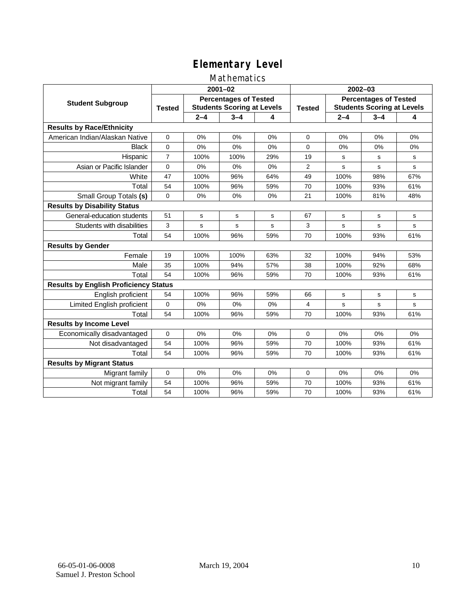### Mathematics

|                                              | $2001 - 02$                                                                        |         |         |               | $2002 - 03$                                                       |         |         |     |
|----------------------------------------------|------------------------------------------------------------------------------------|---------|---------|---------------|-------------------------------------------------------------------|---------|---------|-----|
| <b>Student Subgroup</b>                      | <b>Percentages of Tested</b><br><b>Students Scoring at Levels</b><br><b>Tested</b> |         |         | <b>Tested</b> | <b>Percentages of Tested</b><br><b>Students Scoring at Levels</b> |         |         |     |
|                                              |                                                                                    | $2 - 4$ | $3 - 4$ | 4             |                                                                   | $2 - 4$ | $3 - 4$ | 4   |
| <b>Results by Race/Ethnicity</b>             |                                                                                    |         |         |               |                                                                   |         |         |     |
| American Indian/Alaskan Native               | $\Omega$                                                                           | 0%      | 0%      | 0%            | $\Omega$                                                          | 0%      | 0%      | 0%  |
| <b>Black</b>                                 | 0                                                                                  | 0%      | 0%      | 0%            | $\Omega$                                                          | 0%      | 0%      | 0%  |
| Hispanic                                     | $\overline{7}$                                                                     | 100%    | 100%    | 29%           | 19                                                                | s       | s       | s   |
| Asian or Pacific Islander                    | 0                                                                                  | 0%      | 0%      | 0%            | 2                                                                 | s       | s       | s   |
| White                                        | 47                                                                                 | 100%    | 96%     | 64%           | 49                                                                | 100%    | 98%     | 67% |
| Total                                        | 54                                                                                 | 100%    | 96%     | 59%           | 70                                                                | 100%    | 93%     | 61% |
| Small Group Totals (s)                       | $\Omega$                                                                           | 0%      | 0%      | 0%            | 21                                                                | 100%    | 81%     | 48% |
| <b>Results by Disability Status</b>          |                                                                                    |         |         |               |                                                                   |         |         |     |
| General-education students                   | 51                                                                                 | s       | s       | s             | 67                                                                | s       | s       | s   |
| Students with disabilities                   | 3                                                                                  | s       | s       | s             | 3                                                                 | s       | s       | s   |
| Total                                        | 54                                                                                 | 100%    | 96%     | 59%           | 70                                                                | 100%    | 93%     | 61% |
| <b>Results by Gender</b>                     |                                                                                    |         |         |               |                                                                   |         |         |     |
| Female                                       | 19                                                                                 | 100%    | 100%    | 63%           | 32                                                                | 100%    | 94%     | 53% |
| Male                                         | 35                                                                                 | 100%    | 94%     | 57%           | 38                                                                | 100%    | 92%     | 68% |
| Total                                        | 54                                                                                 | 100%    | 96%     | 59%           | 70                                                                | 100%    | 93%     | 61% |
| <b>Results by English Proficiency Status</b> |                                                                                    |         |         |               |                                                                   |         |         |     |
| English proficient                           | 54                                                                                 | 100%    | 96%     | 59%           | 66                                                                | s       | s       | s   |
| Limited English proficient                   | $\Omega$                                                                           | 0%      | 0%      | 0%            | 4                                                                 | s       | s       | s   |
| Total                                        | 54                                                                                 | 100%    | 96%     | 59%           | 70                                                                | 100%    | 93%     | 61% |
| <b>Results by Income Level</b>               |                                                                                    |         |         |               |                                                                   |         |         |     |
| Economically disadvantaged                   | 0                                                                                  | 0%      | 0%      | 0%            | $\mathbf 0$                                                       | 0%      | 0%      | 0%  |
| Not disadvantaged                            | 54                                                                                 | 100%    | 96%     | 59%           | 70                                                                | 100%    | 93%     | 61% |
| Total                                        | 54                                                                                 | 100%    | 96%     | 59%           | 70                                                                | 100%    | 93%     | 61% |
| <b>Results by Migrant Status</b>             |                                                                                    |         |         |               |                                                                   |         |         |     |
| Migrant family                               | 0                                                                                  | 0%      | 0%      | 0%            | $\mathbf 0$                                                       | 0%      | $0\%$   | 0%  |
| Not migrant family                           | 54                                                                                 | 100%    | 96%     | 59%           | 70                                                                | 100%    | 93%     | 61% |
| Total                                        | 54                                                                                 | 100%    | 96%     | 59%           | 70                                                                | 100%    | 93%     | 61% |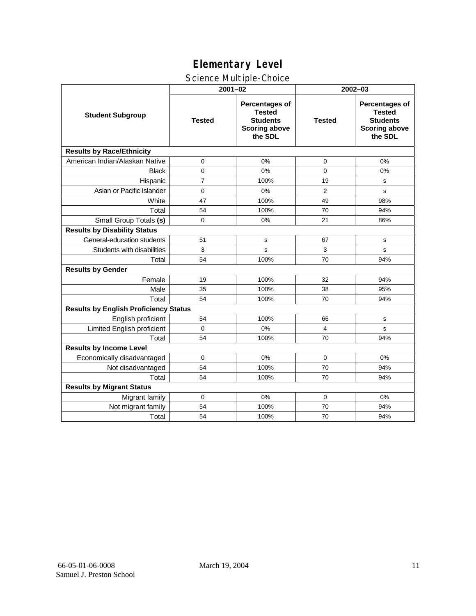### Science Multiple-Choice

|                                              | $2001 - 02$    |                                                                                              | 2002-03        |                                                                                              |  |  |
|----------------------------------------------|----------------|----------------------------------------------------------------------------------------------|----------------|----------------------------------------------------------------------------------------------|--|--|
| <b>Student Subgroup</b>                      | <b>Tested</b>  | <b>Percentages of</b><br><b>Tested</b><br><b>Students</b><br><b>Scoring above</b><br>the SDL | <b>Tested</b>  | <b>Percentages of</b><br><b>Tested</b><br><b>Students</b><br><b>Scoring above</b><br>the SDL |  |  |
| <b>Results by Race/Ethnicity</b>             |                |                                                                                              |                |                                                                                              |  |  |
| American Indian/Alaskan Native               | 0              | 0%                                                                                           | 0              | 0%                                                                                           |  |  |
| <b>Black</b>                                 | $\mathbf 0$    | 0%                                                                                           | $\Omega$       | 0%                                                                                           |  |  |
| Hispanic                                     | $\overline{7}$ | 100%                                                                                         | 19             | s                                                                                            |  |  |
| Asian or Pacific Islander                    | 0              | 0%                                                                                           | $\overline{2}$ | s                                                                                            |  |  |
| White                                        | 47             | 100%                                                                                         | 49             | 98%                                                                                          |  |  |
| Total                                        | 54             | 100%                                                                                         | 70             | 94%                                                                                          |  |  |
| Small Group Totals (s)                       | 0              | 0%                                                                                           | 21             | 86%                                                                                          |  |  |
| <b>Results by Disability Status</b>          |                |                                                                                              |                |                                                                                              |  |  |
| General-education students                   | 51             | s                                                                                            | 67             | s                                                                                            |  |  |
| Students with disabilities                   | 3              | s                                                                                            | 3              | s                                                                                            |  |  |
| Total                                        | 54             | 100%                                                                                         | 70             | 94%                                                                                          |  |  |
| <b>Results by Gender</b>                     |                |                                                                                              |                |                                                                                              |  |  |
| Female                                       | 19             | 100%                                                                                         | 32             | 94%                                                                                          |  |  |
| Male                                         | 35             | 100%                                                                                         | 38             | 95%                                                                                          |  |  |
| Total                                        | 54             | 100%                                                                                         | 70             | 94%                                                                                          |  |  |
| <b>Results by English Proficiency Status</b> |                |                                                                                              |                |                                                                                              |  |  |
| English proficient                           | 54             | 100%                                                                                         | 66             | s                                                                                            |  |  |
| Limited English proficient                   | $\Omega$       | 0%                                                                                           | 4              | s                                                                                            |  |  |
| Total                                        | 54             | 100%                                                                                         | 70             | 94%                                                                                          |  |  |
| <b>Results by Income Level</b>               |                |                                                                                              |                |                                                                                              |  |  |
| Economically disadvantaged                   | $\Omega$       | 0%                                                                                           | $\Omega$       | 0%                                                                                           |  |  |
| Not disadvantaged                            | 54             | 100%                                                                                         | 70             | 94%                                                                                          |  |  |
| Total                                        | 54             | 100%                                                                                         | 70             | 94%                                                                                          |  |  |
| <b>Results by Migrant Status</b>             |                |                                                                                              |                |                                                                                              |  |  |
| Migrant family                               | 0              | 0%                                                                                           | 0              | 0%                                                                                           |  |  |
| Not migrant family                           | 54             | 100%                                                                                         | 70             | 94%                                                                                          |  |  |
| Total                                        | 54             | 100%                                                                                         | 70             | 94%                                                                                          |  |  |